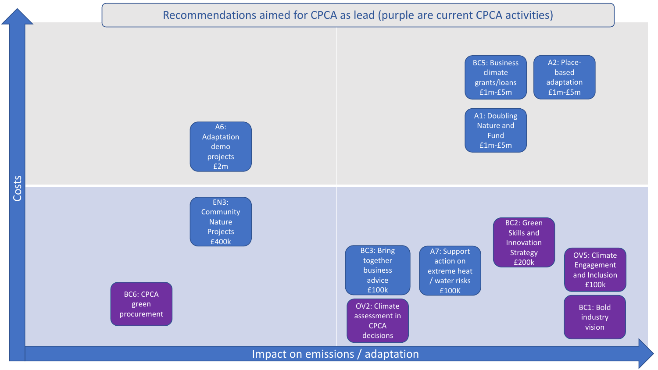## Recommendations aimed for CPCA as lead (purple are current CPCA activities)